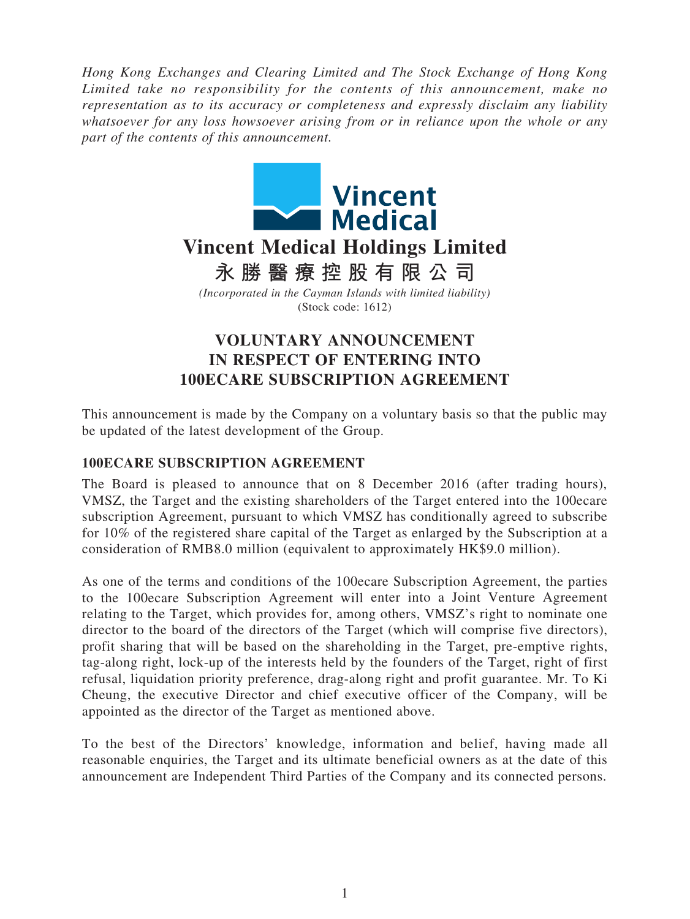*Hong Kong Exchanges and Clearing Limited and The Stock Exchange of Hong Kong Limited take no responsibility for the contents of this announcement, make no representation as to its accuracy or completeness and expressly disclaim any liability whatsoever for any loss howsoever arising from or in reliance upon the whole or any part of the contents of this announcement.*



# **VOLUNTARY ANNOUNCEMENT IN RESPECT OF ENTERING INTO 100ECARE SUBSCRIPTION AGREEMENT**

This announcement is made by the Company on a voluntary basis so that the public may be updated of the latest development of the Group.

## **100ECARE SUBSCRIPTION AGREEMENT**

The Board is pleased to announce that on 8 December 2016 (after trading hours), VMSZ, the Target and the existing shareholders of the Target entered into the 100ecare subscription Agreement, pursuant to which VMSZ has conditionally agreed to subscribe for 10% of the registered share capital of the Target as enlarged by the Subscription at a consideration of RMB8.0 million (equivalent to approximately HK\$9.0 million).

As one of the terms and conditions of the 100ecare Subscription Agreement, the parties to the 100ecare Subscription Agreement will enter into a Joint Venture Agreement relating to the Target, which provides for, among others, VMSZ's right to nominate one director to the board of the directors of the Target (which will comprise five directors), profit sharing that will be based on the shareholding in the Target, pre-emptive rights, tag-along right, lock-up of the interests held by the founders of the Target, right of first refusal, liquidation priority preference, drag-along right and profit guarantee. Mr. To Ki Cheung, the executive Director and chief executive officer of the Company, will be appointed as the director of the Target as mentioned above.

To the best of the Directors' knowledge, information and belief, having made all reasonable enquiries, the Target and its ultimate beneficial owners as at the date of this announcement are Independent Third Parties of the Company and its connected persons.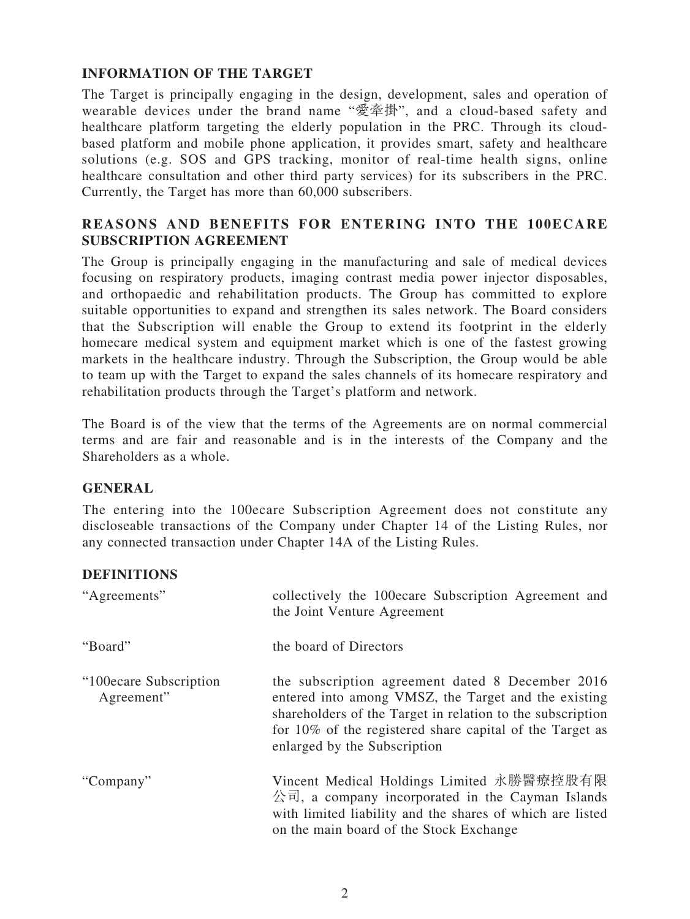## **INFORMATION OF THE TARGET**

The Target is principally engaging in the design, development, sales and operation of wearable devices under the brand name "愛牽掛", and a cloud-based safety and healthcare platform targeting the elderly population in the PRC. Through its cloudbased platform and mobile phone application, it provides smart, safety and healthcare solutions (e.g. SOS and GPS tracking, monitor of real-time health signs, online healthcare consultation and other third party services) for its subscribers in the PRC. Currently, the Target has more than 60,000 subscribers.

## **REASONS AND BENEFITS FOR ENTERING INTO THE 100ECARE SUBSCRIPTION AGREEMENT**

The Group is principally engaging in the manufacturing and sale of medical devices focusing on respiratory products, imaging contrast media power injector disposables, and orthopaedic and rehabilitation products. The Group has committed to explore suitable opportunities to expand and strengthen its sales network. The Board considers that the Subscription will enable the Group to extend its footprint in the elderly homecare medical system and equipment market which is one of the fastest growing markets in the healthcare industry. Through the Subscription, the Group would be able to team up with the Target to expand the sales channels of its homecare respiratory and rehabilitation products through the Target's platform and network.

The Board is of the view that the terms of the Agreements are on normal commercial terms and are fair and reasonable and is in the interests of the Company and the Shareholders as a whole.

### **GENERAL**

The entering into the 100ecare Subscription Agreement does not constitute any discloseable transactions of the Company under Chapter 14 of the Listing Rules, nor any connected transaction under Chapter 14A of the Listing Rules.

### **DEFINITIONS**

| "Agreements"                          | collectively the 100ecare Subscription Agreement and<br>the Joint Venture Agreement                                                                                                                                                                                |
|---------------------------------------|--------------------------------------------------------------------------------------------------------------------------------------------------------------------------------------------------------------------------------------------------------------------|
| "Board"                               | the board of Directors                                                                                                                                                                                                                                             |
| "100ecare Subscription"<br>Agreement" | the subscription agreement dated 8 December 2016<br>entered into among VMSZ, the Target and the existing<br>shareholders of the Target in relation to the subscription<br>for 10% of the registered share capital of the Target as<br>enlarged by the Subscription |
| "Company"                             | Vincent Medical Holdings Limited 永勝醫療控股有限<br>$\triangle$ $\overline{a}$ , a company incorporated in the Cayman Islands<br>with limited liability and the shares of which are listed<br>on the main board of the Stock Exchange                                     |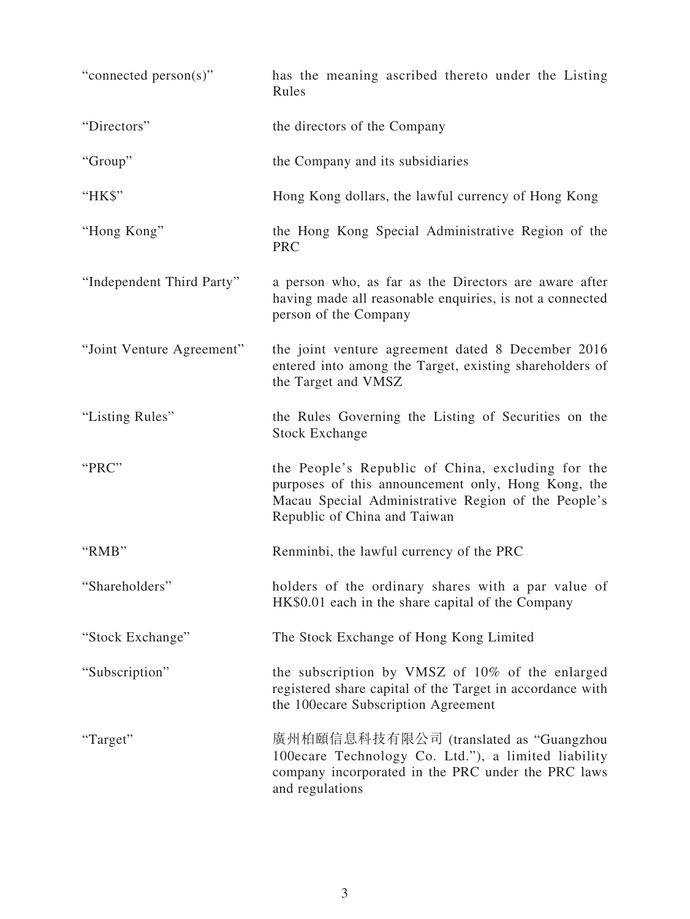| "connected person(s)"     | has the meaning ascribed thereto under the Listing<br>Rules                                                                                                                                    |
|---------------------------|------------------------------------------------------------------------------------------------------------------------------------------------------------------------------------------------|
| "Directors"               | the directors of the Company                                                                                                                                                                   |
| "Group"                   | the Company and its subsidiaries                                                                                                                                                               |
| "HK\$"                    | Hong Kong dollars, the lawful currency of Hong Kong                                                                                                                                            |
| "Hong Kong"               | the Hong Kong Special Administrative Region of the<br><b>PRC</b>                                                                                                                               |
| "Independent Third Party" | a person who, as far as the Directors are aware after<br>having made all reasonable enquiries, is not a connected<br>person of the Company                                                     |
| "Joint Venture Agreement" | the joint venture agreement dated 8 December 2016<br>entered into among the Target, existing shareholders of<br>the Target and VMSZ                                                            |
| "Listing Rules"           | the Rules Governing the Listing of Securities on the<br><b>Stock Exchange</b>                                                                                                                  |
| "PRC"                     | the People's Republic of China, excluding for the<br>purposes of this announcement only, Hong Kong, the<br>Macau Special Administrative Region of the People's<br>Republic of China and Taiwan |
| "RMB"                     | Renminbi, the lawful currency of the PRC                                                                                                                                                       |
| 'Shareholders"            | holders of the ordinary shares with a par value of<br>HK\$0.01 each in the share capital of the Company                                                                                        |
| "Stock Exchange"          | The Stock Exchange of Hong Kong Limited                                                                                                                                                        |
| "Subscription"            | the subscription by VMSZ of 10% of the enlarged<br>registered share capital of the Target in accordance with<br>the 100ecare Subscription Agreement                                            |
| "Target"                  | 廣州柏頤信息科技有限公司 (translated as "Guangzhou<br>100ecare Technology Co. Ltd."), a limited liability<br>company incorporated in the PRC under the PRC laws<br>and regulations                         |